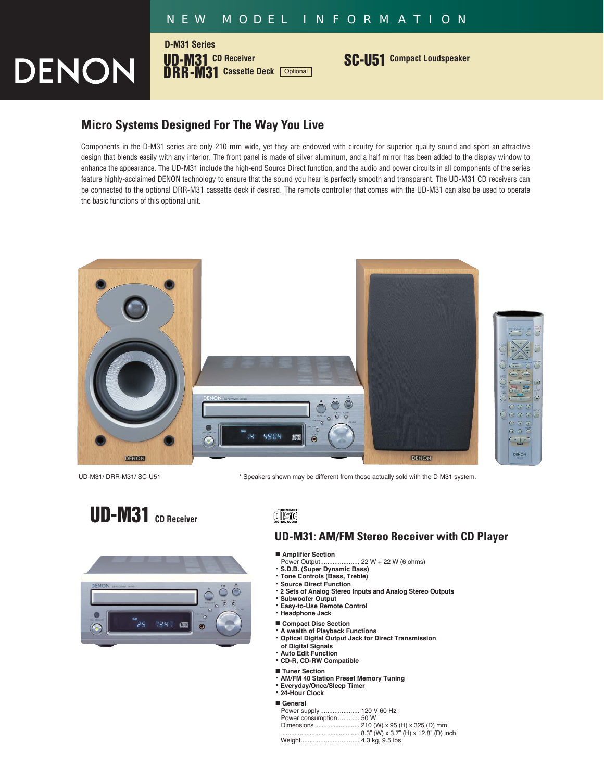## *NEW MODEL INFORMATION*

DENON

**UD-M31 CD Receiver DRR-M31 Cassette Deck** Optional **D-M31 Series**

**SC-U51 Compact Loudspeaker**

# **Micro Systems Designed For The Way You Live**

Components in the D-M31 series are only 210 mm wide, yet they are endowed with circuitry for superior quality sound and sport an attractive design that blends easily with any interior. The front panel is made of silver aluminum, and a half mirror has been added to the display window to enhance the appearance. The UD-M31 include the high-end Source Direct function, and the audio and power circuits in all components of the series feature highly-acclaimed DENON technology to ensure that the sound you hear is perfectly smooth and transparent. The UD-M31 CD receivers can be connected to the optional DRR-M31 cassette deck if desired. The remote controller that comes with the UD-M31 can also be used to operate the basic functions of this optional unit.



UD-M31/ DRR-M31/ SC-U51 \* Speakers shown may be different from those actually sold with the D-M31 system.





disc

## **UD-M31: AM/FM Stereo Receiver with CD Player**

■ **Amplifier Section**<br>Power Output.........

- $.22 W + 22 W (6 ohms)$
- **S.D.B. (Super Dynamic Bass)**
- **Tone Controls (Bass, Treble) • Source Direct Function**
- **2 Sets of Analog Stereo Inputs and Analog Stereo Outputs**
- **Subwoofer Output**
- **Easy-to-Use Remote Control**
- **Headphone Jack**
- **Compact Disc Section**
- **A wealth of Playback Functions**
- **Optical Digital Output Jack for Direct Transmission of Digital Signals**
- **Auto Edit Function**
- **CD-R, CD-RW Compatible**
- **Tuner Section**
- **AM/FM 40 Station Preset Memory Tuning**
- **Everyday/Once/Sleep Timer**
- **24-Hour Clock**
- **General**

| General                  |  |
|--------------------------|--|
| Power supply 120 V 60 Hz |  |
| Power consumption 50 W   |  |
|                          |  |
|                          |  |
|                          |  |